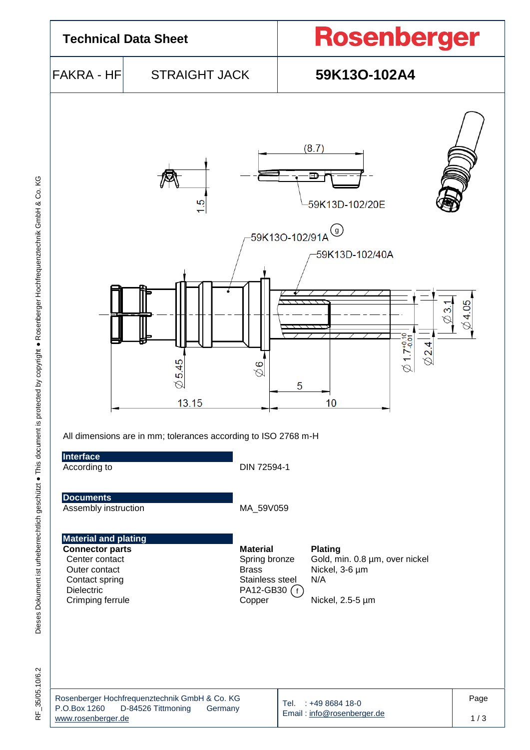

RF\_35/05.10/6.2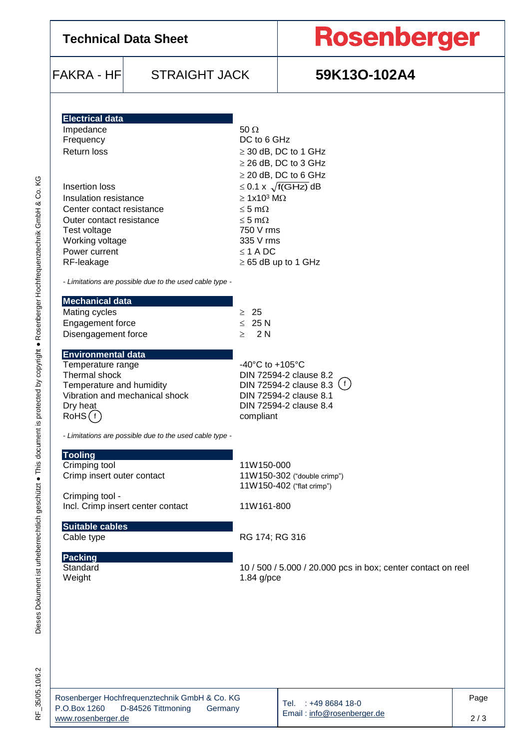| <b>Technical Data Sheet</b>                                                                                                                                                                                                                                                                             |                                                         |                                                                                                                                                                                                                                                                                                       | <b>Rosenberger</b> |  |  |  |  |
|---------------------------------------------------------------------------------------------------------------------------------------------------------------------------------------------------------------------------------------------------------------------------------------------------------|---------------------------------------------------------|-------------------------------------------------------------------------------------------------------------------------------------------------------------------------------------------------------------------------------------------------------------------------------------------------------|--------------------|--|--|--|--|
| <b>FAKRA - HF</b>                                                                                                                                                                                                                                                                                       | <b>STRAIGHT JACK</b>                                    |                                                                                                                                                                                                                                                                                                       | 59K13O-102A4       |  |  |  |  |
| <b>Electrical data</b><br>Impedance<br>Frequency<br><b>Return loss</b><br>Insertion loss<br>Insulation resistance<br>Center contact resistance<br>Outer contact resistance<br>Test voltage<br>Working voltage<br>Power current<br>RF-leakage<br>- Limitations are possible due to the used cable type - |                                                         | 50 $\Omega$<br>DC to 6 GHz<br>$\geq$ 30 dB, DC to 1 GHz<br>$\geq$ 26 dB, DC to 3 GHz<br>$\geq$ 20 dB, DC to 6 GHz<br>$\leq$ 0.1 x $\sqrt{f(GHz)}$ dB<br>$\geq 1x10^3$ M $\Omega$<br>$\leq$ 5 m $\Omega$<br>$\leq$ 5 m $\Omega$<br>750 V rms<br>335 V rms<br>$\leq$ 1 A DC<br>$\geq$ 65 dB up to 1 GHz |                    |  |  |  |  |
| <b>Mechanical data</b><br>Mating cycles<br>Engagement force<br>Disengagement force                                                                                                                                                                                                                      |                                                         | $\geq 25$<br>$\leq 25 N$<br>2 N<br>$\geq$                                                                                                                                                                                                                                                             |                    |  |  |  |  |
| <b>Environmental data</b><br>Temperature range<br>Thermal shock<br>Temperature and humidity<br>Vibration and mechanical shock<br>Dry heat<br>RoHS(f)                                                                                                                                                    |                                                         | $-40^{\circ}$ C to $+105^{\circ}$ C<br>DIN 72594-2 clause 8.2<br>DIN 72594-2 clause 8.3 $(f)$<br>DIN 72594-2 clause 8.1<br>DIN 72594-2 clause 8.4<br>compliant                                                                                                                                        |                    |  |  |  |  |
| <b>Tooling</b><br>Crimping tool                                                                                                                                                                                                                                                                         | - Limitations are possible due to the used cable type - | 11W150-000                                                                                                                                                                                                                                                                                            |                    |  |  |  |  |

11W150-402 ("flat crimp")

Standard 10 / 500 / 5.000 / 20.000 pcs in box; center contact on reel<br>Weight 1.84 g/pce  $1.84$  g/pce

Crimping tool -

**Suitable cables**

**Packing**

RF\_35/05.10/6.2

| Rosenberger Hochfrequenztechnik GmbH & Co. KG |                    |         |  |  |  |  |  |
|-----------------------------------------------|--------------------|---------|--|--|--|--|--|
| P.O.Box 1260                                  | D-84526 Tittmoning | Germany |  |  |  |  |  |
| www.rosenberger.de                            |                    |         |  |  |  |  |  |

Crimp insert outer contact 11W150-302 ("double crimp")

Incl. Crimp insert center contact 11W161-800

Cable type RG 174; RG 316

Tel. : +49 8684 18-0 Email [: info@rosenberger.de](mailto:info@rosenberger.de) Page 2 / 3